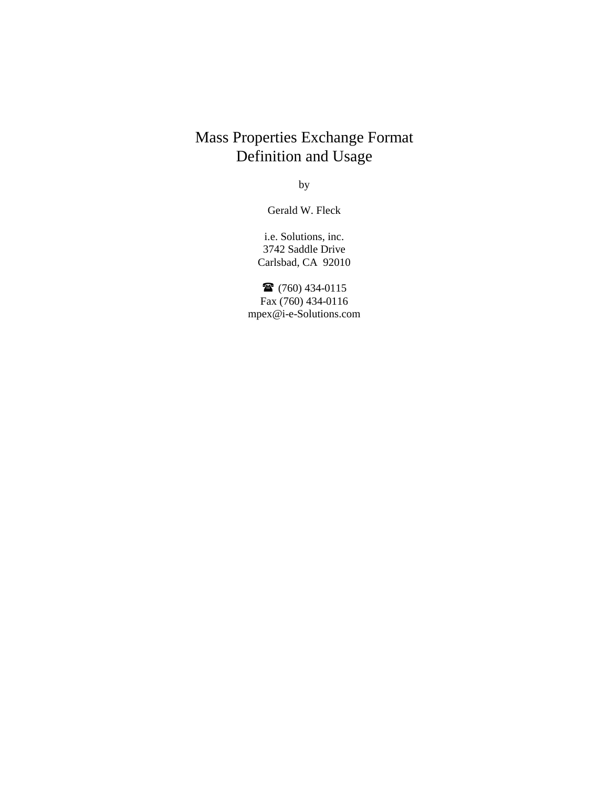# Mass Properties Exchange Format Definition and Usage

by

Gerald W. Fleck

i.e. Solutions, inc. 3742 Saddle Drive Carlsbad, CA 92010

 $\bullet$  (760) 434-0115 Fax (760) 434-0116 mpex@i-e-Solutions.com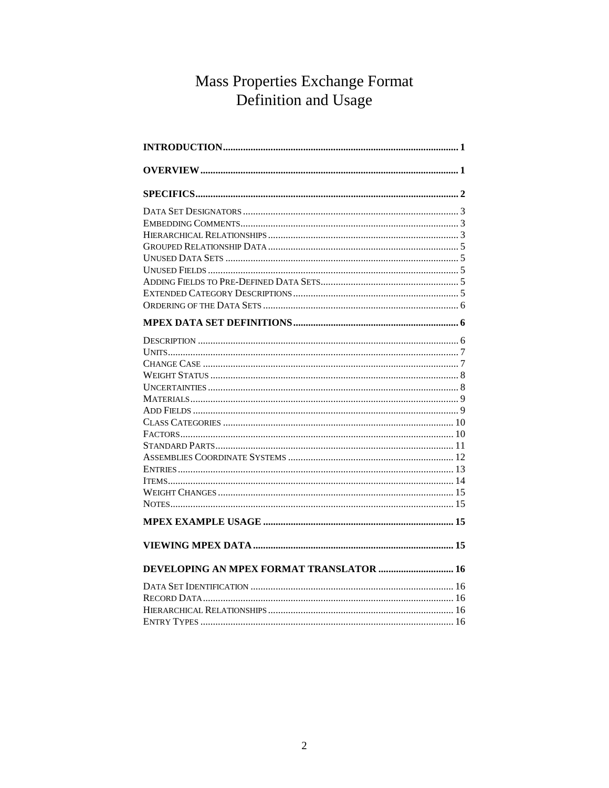# Mass Properties Exchange Format Definition and Usage

| DEVELOPING AN MPEX FORMAT TRANSLATOR  16 |  |
|------------------------------------------|--|
|                                          |  |
|                                          |  |
|                                          |  |
|                                          |  |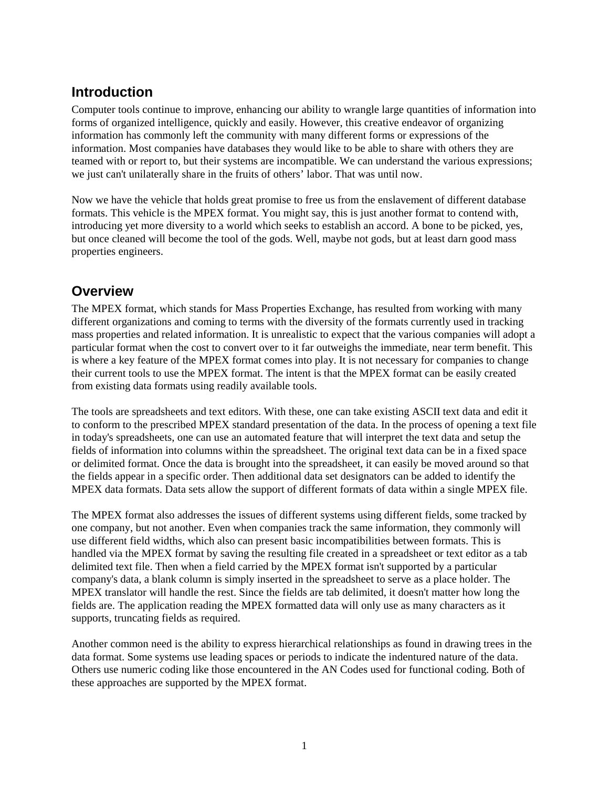# <span id="page-2-0"></span>**Introduction**

Computer tools continue to improve, enhancing our ability to wrangle large quantities of information into forms of organized intelligence, quickly and easily. However, this creative endeavor of organizing information has commonly left the community with many different forms or expressions of the information. Most companies have databases they would like to be able to share with others they are teamed with or report to, but their systems are incompatible. We can understand the various expressions; we just can't unilaterally share in the fruits of others' labor. That was until now.

Now we have the vehicle that holds great promise to free us from the enslavement of different database formats. This vehicle is the MPEX format. You might say, this is just another format to contend with, introducing yet more diversity to a world which seeks to establish an accord. A bone to be picked, yes, but once cleaned will become the tool of the gods. Well, maybe not gods, but at least darn good mass properties engineers.

# **Overview**

The MPEX format, which stands for Mass Properties Exchange, has resulted from working with many different organizations and coming to terms with the diversity of the formats currently used in tracking mass properties and related information. It is unrealistic to expect that the various companies will adopt a particular format when the cost to convert over to it far outweighs the immediate, near term benefit. This is where a key feature of the MPEX format comes into play. It is not necessary for companies to change their current tools to use the MPEX format. The intent is that the MPEX format can be easily created from existing data formats using readily available tools.

The tools are spreadsheets and text editors. With these, one can take existing ASCII text data and edit it to conform to the prescribed MPEX standard presentation of the data. In the process of opening a text file in today's spreadsheets, one can use an automated feature that will interpret the text data and setup the fields of information into columns within the spreadsheet. The original text data can be in a fixed space or delimited format. Once the data is brought into the spreadsheet, it can easily be moved around so that the fields appear in a specific order. Then additional data set designators can be added to identify the MPEX data formats. Data sets allow the support of different formats of data within a single MPEX file.

The MPEX format also addresses the issues of different systems using different fields, some tracked by one company, but not another. Even when companies track the same information, they commonly will use different field widths, which also can present basic incompatibilities between formats. This is handled via the MPEX format by saving the resulting file created in a spreadsheet or text editor as a tab delimited text file. Then when a field carried by the MPEX format isn't supported by a particular company's data, a blank column is simply inserted in the spreadsheet to serve as a place holder. The MPEX translator will handle the rest. Since the fields are tab delimited, it doesn't matter how long the fields are. The application reading the MPEX formatted data will only use as many characters as it supports, truncating fields as required.

Another common need is the ability to express hierarchical relationships as found in drawing trees in the data format. Some systems use leading spaces or periods to indicate the indentured nature of the data. Others use numeric coding like those encountered in the AN Codes used for functional coding. Both of these approaches are supported by the MPEX format.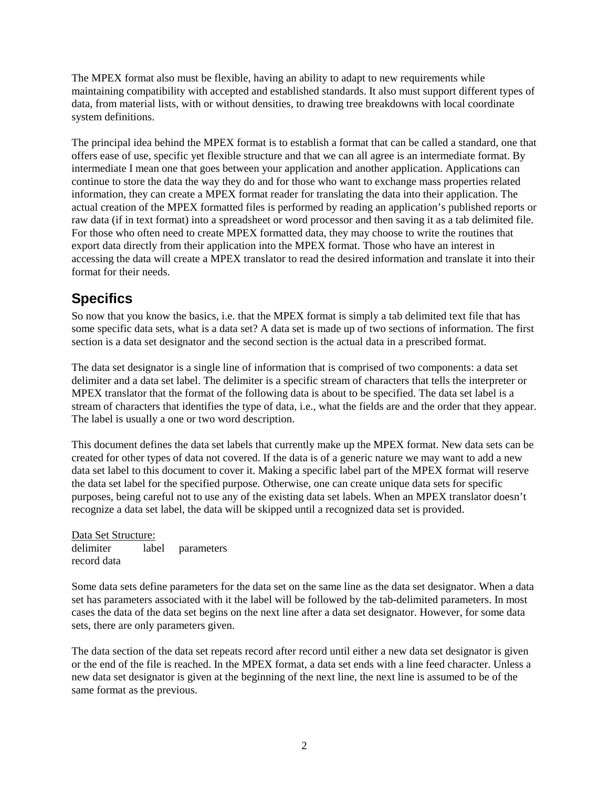<span id="page-3-0"></span>The MPEX format also must be flexible, having an ability to adapt to new requirements while maintaining compatibility with accepted and established standards. It also must support different types of data, from material lists, with or without densities, to drawing tree breakdowns with local coordinate system definitions.

The principal idea behind the MPEX format is to establish a format that can be called a standard, one that offers ease of use, specific yet flexible structure and that we can all agree is an intermediate format. By intermediate I mean one that goes between your application and another application. Applications can continue to store the data the way they do and for those who want to exchange mass properties related information, they can create a MPEX format reader for translating the data into their application. The actual creation of the MPEX formatted files is performed by reading an application's published reports or raw data (if in text format) into a spreadsheet or word processor and then saving it as a tab delimited file. For those who often need to create MPEX formatted data, they may choose to write the routines that export data directly from their application into the MPEX format. Those who have an interest in accessing the data will create a MPEX translator to read the desired information and translate it into their format for their needs.

# **Specifics**

So now that you know the basics, i.e. that the MPEX format is simply a tab delimited text file that has some specific data sets, what is a data set? A data set is made up of two sections of information. The first section is a data set designator and the second section is the actual data in a prescribed format.

The data set designator is a single line of information that is comprised of two components: a data set delimiter and a data set label. The delimiter is a specific stream of characters that tells the interpreter or MPEX translator that the format of the following data is about to be specified. The data set label is a stream of characters that identifies the type of data, i.e., what the fields are and the order that they appear. The label is usually a one or two word description.

This document defines the data set labels that currently make up the MPEX format. New data sets can be created for other types of data not covered. If the data is of a generic nature we may want to add a new data set label to this document to cover it. Making a specific label part of the MPEX format will reserve the data set label for the specified purpose. Otherwise, one can create unique data sets for specific purposes, being careful not to use any of the existing data set labels. When an MPEX translator doesn't recognize a data set label, the data will be skipped until a recognized data set is provided.

#### Data Set Structure: delimiter label parameters record data

Some data sets define parameters for the data set on the same line as the data set designator. When a data set has parameters associated with it the label will be followed by the tab-delimited parameters. In most cases the data of the data set begins on the next line after a data set designator. However, for some data sets, there are only parameters given.

The data section of the data set repeats record after record until either a new data set designator is given or the end of the file is reached. In the MPEX format, a data set ends with a line feed character. Unless a new data set designator is given at the beginning of the next line, the next line is assumed to be of the same format as the previous.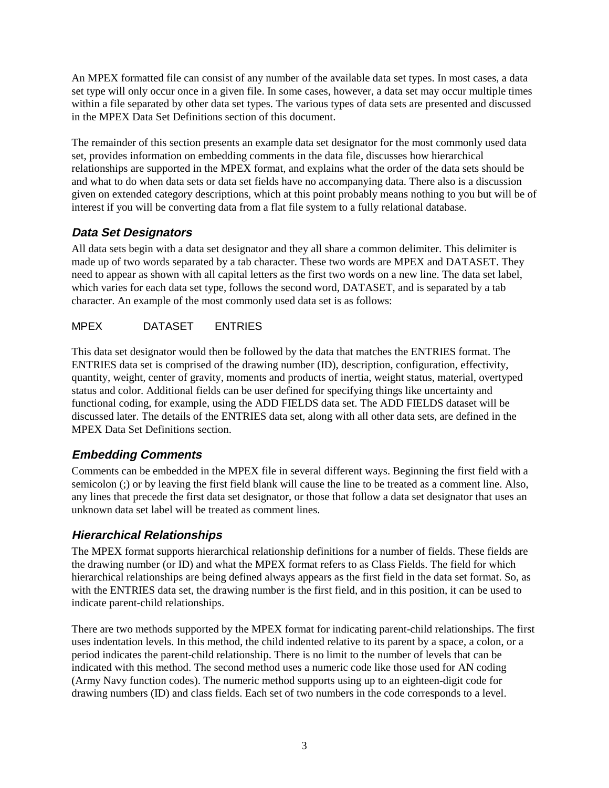<span id="page-4-0"></span>An MPEX formatted file can consist of any number of the available data set types. In most cases, a data set type will only occur once in a given file. In some cases, however, a data set may occur multiple times within a file separated by other data set types. The various types of data sets are presented and discussed in the MPEX Data Set Definitions section of this document.

The remainder of this section presents an example data set designator for the most commonly used data set, provides information on embedding comments in the data file, discusses how hierarchical relationships are supported in the MPEX format, and explains what the order of the data sets should be and what to do when data sets or data set fields have no accompanying data. There also is a discussion given on extended category descriptions, which at this point probably means nothing to you but will be of interest if you will be converting data from a flat file system to a fully relational database.

## **Data Set Designators**

All data sets begin with a data set designator and they all share a common delimiter. This delimiter is made up of two words separated by a tab character. These two words are MPEX and DATASET. They need to appear as shown with all capital letters as the first two words on a new line. The data set label, which varies for each data set type, follows the second word, DATASET, and is separated by a tab character. An example of the most commonly used data set is as follows:

## MPEX DATASET ENTRIES

This data set designator would then be followed by the data that matches the ENTRIES format. The ENTRIES data set is comprised of the drawing number (ID), description, configuration, effectivity, quantity, weight, center of gravity, moments and products of inertia, weight status, material, overtyped status and color. Additional fields can be user defined for specifying things like uncertainty and functional coding, for example, using the ADD FIELDS data set. The ADD FIELDS dataset will be discussed later. The details of the ENTRIES data set, along with all other data sets, are defined in the MPEX Data Set Definitions section.

## **Embedding Comments**

Comments can be embedded in the MPEX file in several different ways. Beginning the first field with a semicolon (;) or by leaving the first field blank will cause the line to be treated as a comment line. Also, any lines that precede the first data set designator, or those that follow a data set designator that uses an unknown data set label will be treated as comment lines.

## **Hierarchical Relationships**

The MPEX format supports hierarchical relationship definitions for a number of fields. These fields are the drawing number (or ID) and what the MPEX format refers to as Class Fields. The field for which hierarchical relationships are being defined always appears as the first field in the data set format. So, as with the ENTRIES data set, the drawing number is the first field, and in this position, it can be used to indicate parent-child relationships.

There are two methods supported by the MPEX format for indicating parent-child relationships. The first uses indentation levels. In this method, the child indented relative to its parent by a space, a colon, or a period indicates the parent-child relationship. There is no limit to the number of levels that can be indicated with this method. The second method uses a numeric code like those used for AN coding (Army Navy function codes). The numeric method supports using up to an eighteen-digit code for drawing numbers (ID) and class fields. Each set of two numbers in the code corresponds to a level.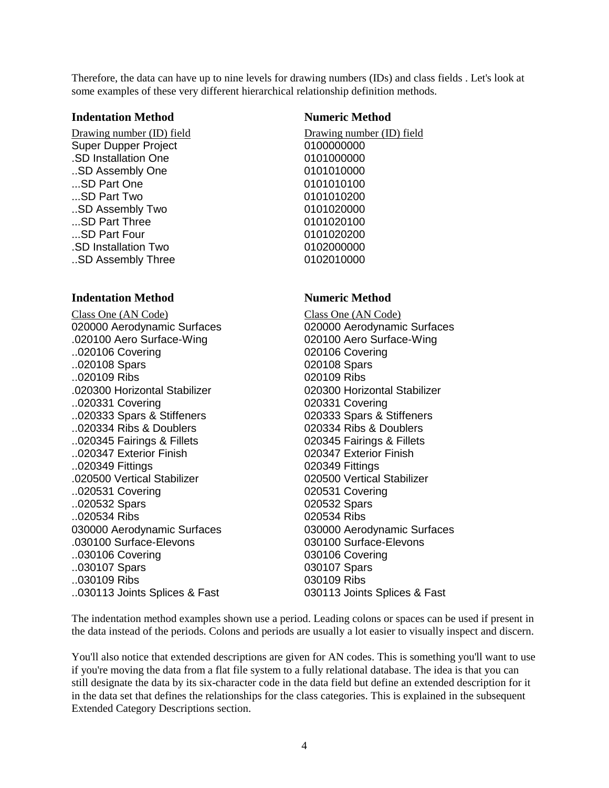Therefore, the data can have up to nine levels for drawing numbers (IDs) and class fields . Let's look at some examples of these very different hierarchical relationship definition methods.

#### **Indentation Method Numeric Method**

Drawing number (ID) field Drawing number (ID) field Super Dupper Project 0100000000 .SD Installation One 0101000000 ..SD Assembly One 0101010000 ...SD Part One 0101010100 ...SD Part Two 0101010200 .SD Assembly Two 0101020000 ...SD Part Three 0101020100 ...SD Part Four 2002000 .SD Installation Two 0102000000 .SD Assembly Three 0102010000

#### **Indentation Method Numeric Method**

Class One (AN Code) Class One (AN Code) 020000 Aerodynamic Surfaces 020000 Aerodynamic Surfaces .020100 Aero Surface-Wing 020100 Aero Surface-Wing ..020106 Covering 020106 Covering ..020108 Spars 020108 Spars ..020109 Ribs 020109 Ribs .020300 Horizontal Stabilizer 020300 Horizontal Stabilizer ..020331 Covering 020331 Covering ..020333 Spars & Stiffeners 020333 Spars & Stiffeners ..020334 Ribs & Doublers 020334 Ribs & Doublers ..020345 Fairings & Fillets 020345 Fairings & Fillets ..020347 Exterior Finish 020347 Exterior Finish ..020349 Fittings 020349 Fittings .020500 Vertical Stabilizer 020500 Vertical Stabilizer ..020531 Covering 020531 Covering ..020532 Spars 020532 Spars ..020534 Ribs 020534 Ribs 030000 Aerodynamic Surfaces 030000 Aerodynamic Surfaces .030100 Surface-Elevons 030100 Surface-Elevons ..030106 Covering 030106 Covering ..030107 Spars 030107 Spars ..030109 Ribs 030109 Ribs ..030113 Joints Splices & Fast 030113 Joints Splices & Fast

The indentation method examples shown use a period. Leading colons or spaces can be used if present in the data instead of the periods. Colons and periods are usually a lot easier to visually inspect and discern.

You'll also notice that extended descriptions are given for AN codes. This is something you'll want to use if you're moving the data from a flat file system to a fully relational database. The idea is that you can still designate the data by its six-character code in the data field but define an extended description for it in the data set that defines the relationships for the class categories. This is explained in the subsequent Extended Category Descriptions section.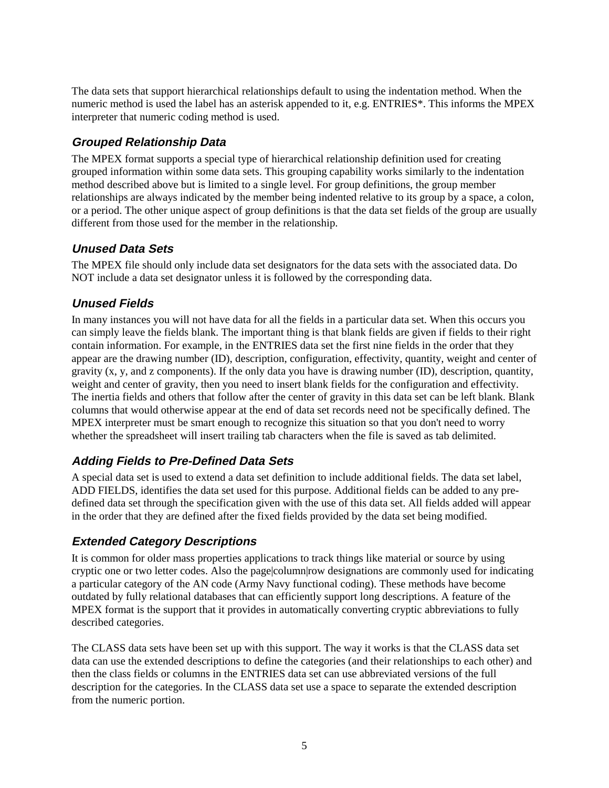<span id="page-6-0"></span>The data sets that support hierarchical relationships default to using the indentation method. When the numeric method is used the label has an asterisk appended to it, e.g. ENTRIES\*. This informs the MPEX interpreter that numeric coding method is used.

## **Grouped Relationship Data**

The MPEX format supports a special type of hierarchical relationship definition used for creating grouped information within some data sets. This grouping capability works similarly to the indentation method described above but is limited to a single level. For group definitions, the group member relationships are always indicated by the member being indented relative to its group by a space, a colon, or a period. The other unique aspect of group definitions is that the data set fields of the group are usually different from those used for the member in the relationship.

### **Unused Data Sets**

The MPEX file should only include data set designators for the data sets with the associated data. Do NOT include a data set designator unless it is followed by the corresponding data.

## **Unused Fields**

In many instances you will not have data for all the fields in a particular data set. When this occurs you can simply leave the fields blank. The important thing is that blank fields are given if fields to their right contain information. For example, in the ENTRIES data set the first nine fields in the order that they appear are the drawing number (ID), description, configuration, effectivity, quantity, weight and center of gravity  $(x, y, and z$  components). If the only data you have is drawing number  $(ID)$ , description, quantity, weight and center of gravity, then you need to insert blank fields for the configuration and effectivity. The inertia fields and others that follow after the center of gravity in this data set can be left blank. Blank columns that would otherwise appear at the end of data set records need not be specifically defined. The MPEX interpreter must be smart enough to recognize this situation so that you don't need to worry whether the spreadsheet will insert trailing tab characters when the file is saved as tab delimited.

## **Adding Fields to Pre-Defined Data Sets**

A special data set is used to extend a data set definition to include additional fields. The data set label, ADD FIELDS, identifies the data set used for this purpose. Additional fields can be added to any predefined data set through the specification given with the use of this data set. All fields added will appear in the order that they are defined after the fixed fields provided by the data set being modified.

## **Extended Category Descriptions**

It is common for older mass properties applications to track things like material or source by using cryptic one or two letter codes. Also the page|column|row designations are commonly used for indicating a particular category of the AN code (Army Navy functional coding). These methods have become outdated by fully relational databases that can efficiently support long descriptions. A feature of the MPEX format is the support that it provides in automatically converting cryptic abbreviations to fully described categories.

The CLASS data sets have been set up with this support. The way it works is that the CLASS data set data can use the extended descriptions to define the categories (and their relationships to each other) and then the class fields or columns in the ENTRIES data set can use abbreviated versions of the full description for the categories. In the CLASS data set use a space to separate the extended description from the numeric portion.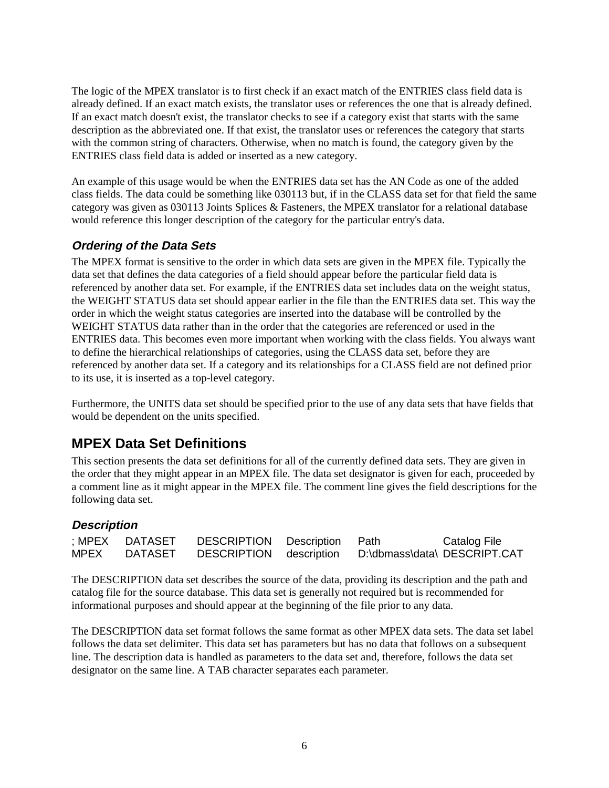<span id="page-7-0"></span>The logic of the MPEX translator is to first check if an exact match of the ENTRIES class field data is already defined. If an exact match exists, the translator uses or references the one that is already defined. If an exact match doesn't exist, the translator checks to see if a category exist that starts with the same description as the abbreviated one. If that exist, the translator uses or references the category that starts with the common string of characters. Otherwise, when no match is found, the category given by the ENTRIES class field data is added or inserted as a new category.

An example of this usage would be when the ENTRIES data set has the AN Code as one of the added class fields. The data could be something like 030113 but, if in the CLASS data set for that field the same category was given as 030113 Joints Splices & Fasteners, the MPEX translator for a relational database would reference this longer description of the category for the particular entry's data.

## **Ordering of the Data Sets**

The MPEX format is sensitive to the order in which data sets are given in the MPEX file. Typically the data set that defines the data categories of a field should appear before the particular field data is referenced by another data set. For example, if the ENTRIES data set includes data on the weight status, the WEIGHT STATUS data set should appear earlier in the file than the ENTRIES data set. This way the order in which the weight status categories are inserted into the database will be controlled by the WEIGHT STATUS data rather than in the order that the categories are referenced or used in the ENTRIES data. This becomes even more important when working with the class fields. You always want to define the hierarchical relationships of categories, using the CLASS data set, before they are referenced by another data set. If a category and its relationships for a CLASS field are not defined prior to its use, it is inserted as a top-level category.

Furthermore, the UNITS data set should be specified prior to the use of any data sets that have fields that would be dependent on the units specified.

# **MPEX Data Set Definitions**

This section presents the data set definitions for all of the currently defined data sets. They are given in the order that they might appear in an MPEX file. The data set designator is given for each, proceeded by a comment line as it might appear in the MPEX file. The comment line gives the field descriptions for the following data set.

### **Description**

|      | ; MPEX DATASET | DESCRIPTION Description Path |                              | Catalog File |
|------|----------------|------------------------------|------------------------------|--------------|
| MPEX | <b>DATASET</b> | DESCRIPTION description      | D:\dbmass\data\ DESCRIPT.CAT |              |

The DESCRIPTION data set describes the source of the data, providing its description and the path and catalog file for the source database. This data set is generally not required but is recommended for informational purposes and should appear at the beginning of the file prior to any data.

The DESCRIPTION data set format follows the same format as other MPEX data sets. The data set label follows the data set delimiter. This data set has parameters but has no data that follows on a subsequent line. The description data is handled as parameters to the data set and, therefore, follows the data set designator on the same line. A TAB character separates each parameter.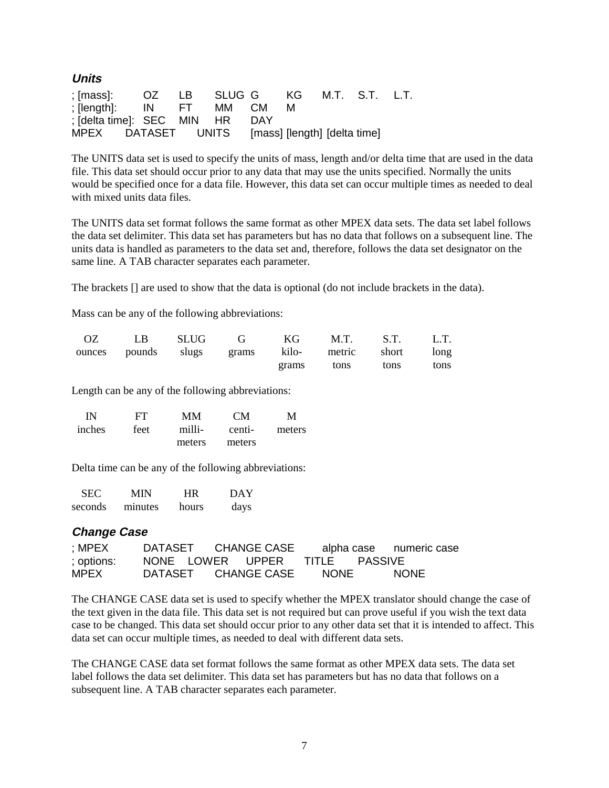<span id="page-8-0"></span>

| Units                                     |       |          |     |                              |                |  |
|-------------------------------------------|-------|----------|-----|------------------------------|----------------|--|
| ; [mass]:                                 | OZ LB | SLUGG KG |     |                              | M.T. S.T. L.T. |  |
| $ S $ $ S $ $ S $ $ S $ $ S $ $ S $ $ S $ |       | MM CM    |     | м                            |                |  |
| : [delta time]: SEC MIN HR                |       |          | DAY |                              |                |  |
| MPEX DATASET UNITS                        |       |          |     | [mass] [length] [delta time] |                |  |

The UNITS data set is used to specify the units of mass, length and/or delta time that are used in the data file. This data set should occur prior to any data that may use the units specified. Normally the units would be specified once for a data file. However, this data set can occur multiple times as needed to deal with mixed units data files.

The UNITS data set format follows the same format as other MPEX data sets. The data set label follows the data set delimiter. This data set has parameters but has no data that follows on a subsequent line. The units data is handled as parameters to the data set and, therefore, follows the data set designator on the same line. A TAB character separates each parameter.

The brackets [] are used to show that the data is optional (do not include brackets in the data).

Mass can be any of the following abbreviations:

|  |  | OZ LB SLUG G KG M.T. S.T. L.T.                    |  |
|--|--|---------------------------------------------------|--|
|  |  | ounces pounds slugs grams kilo- metric short long |  |
|  |  | grams tons tons tons                              |  |

Length can be any of the following abbreviations:

| IN     | FT   | MМ     | CM     | M      |
|--------|------|--------|--------|--------|
| inches | feet | milli- | centi- | meters |
|        |      | meters | meters |        |

Delta time can be any of the following abbreviations:

| <b>SEC</b> | MIN     | HR    | DAY  |
|------------|---------|-------|------|
| seconds    | minutes | hours | days |

#### **Change Case**

| : MPEX     | DATASET CHANGE CASE            |      | alpha case numeric case |
|------------|--------------------------------|------|-------------------------|
| ; options: | NONE LOWER UPPER TITLE PASSIVE |      |                         |
| MPEX       | DATASET CHANGE CASE            | NONE | <b>NONE</b>             |

The CHANGE CASE data set is used to specify whether the MPEX translator should change the case of the text given in the data file. This data set is not required but can prove useful if you wish the text data case to be changed. This data set should occur prior to any other data set that it is intended to affect. This data set can occur multiple times, as needed to deal with different data sets.

The CHANGE CASE data set format follows the same format as other MPEX data sets. The data set label follows the data set delimiter. This data set has parameters but has no data that follows on a subsequent line. A TAB character separates each parameter.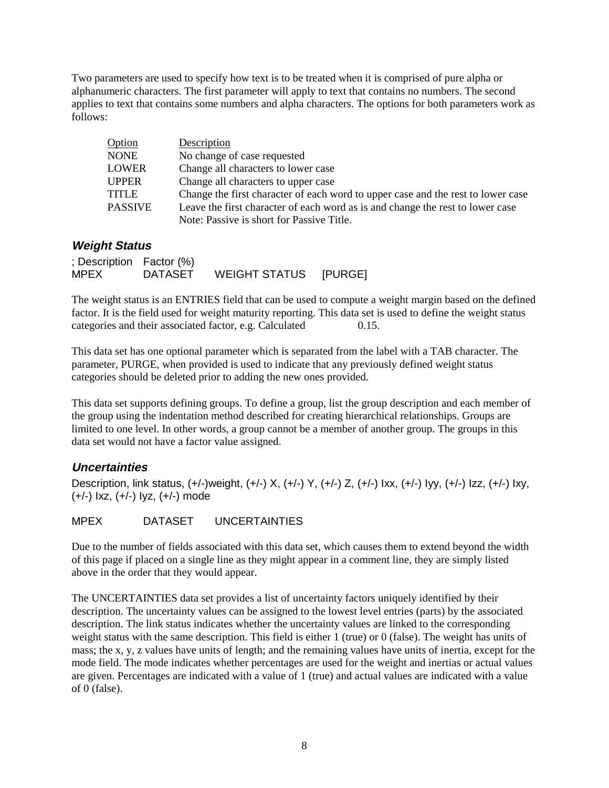<span id="page-9-0"></span>Two parameters are used to specify how text is to be treated when it is comprised of pure alpha or alphanumeric characters. The first parameter will apply to text that contains no numbers. The second applies to text that contains some numbers and alpha characters. The options for both parameters work as follows:

| Option         | Description                                                                      |
|----------------|----------------------------------------------------------------------------------|
| <b>NONE</b>    | No change of case requested                                                      |
| LOWER          | Change all characters to lower case                                              |
| <b>UPPER</b>   | Change all characters to upper case                                              |
| <b>TITLE</b>   | Change the first character of each word to upper case and the rest to lower case |
| <b>PASSIVE</b> | Leave the first character of each word as is and change the rest to lower case   |
|                | Note: Passive is short for Passive Title.                                        |

#### **Weight Status**

; Description Factor (%) MPEX DATASET WEIGHT STATUS [PURGE]

The weight status is an ENTRIES field that can be used to compute a weight margin based on the defined factor. It is the field used for weight maturity reporting. This data set is used to define the weight status categories and their associated factor, e.g. Calculated 0.15.

This data set has one optional parameter which is separated from the label with a TAB character. The parameter, PURGE, when provided is used to indicate that any previously defined weight status categories should be deleted prior to adding the new ones provided.

This data set supports defining groups. To define a group, list the group description and each member of the group using the indentation method described for creating hierarchical relationships. Groups are limited to one level. In other words, a group cannot be a member of another group. The groups in this data set would not have a factor value assigned.

### **Uncertainties**

Description, link status, (+/-)weight, (+/-) X, (+/-) Y, (+/-) Z, (+/-) Ixx, (+/-) Iyy, (+/-) Izz, (+/-) Ixy, (+/-) Ixz, (+/-) Iyz, (+/-) mode

MPEX DATASET UNCERTAINTIES

Due to the number of fields associated with this data set, which causes them to extend beyond the width of this page if placed on a single line as they might appear in a comment line, they are simply listed above in the order that they would appear.

The UNCERTAINTIES data set provides a list of uncertainty factors uniquely identified by their description. The uncertainty values can be assigned to the lowest level entries (parts) by the associated description. The link status indicates whether the uncertainty values are linked to the corresponding weight status with the same description. This field is either 1 (true) or 0 (false). The weight has units of mass; the x, y, z values have units of length; and the remaining values have units of inertia, except for the mode field. The mode indicates whether percentages are used for the weight and inertias or actual values are given. Percentages are indicated with a value of 1 (true) and actual values are indicated with a value of 0 (false).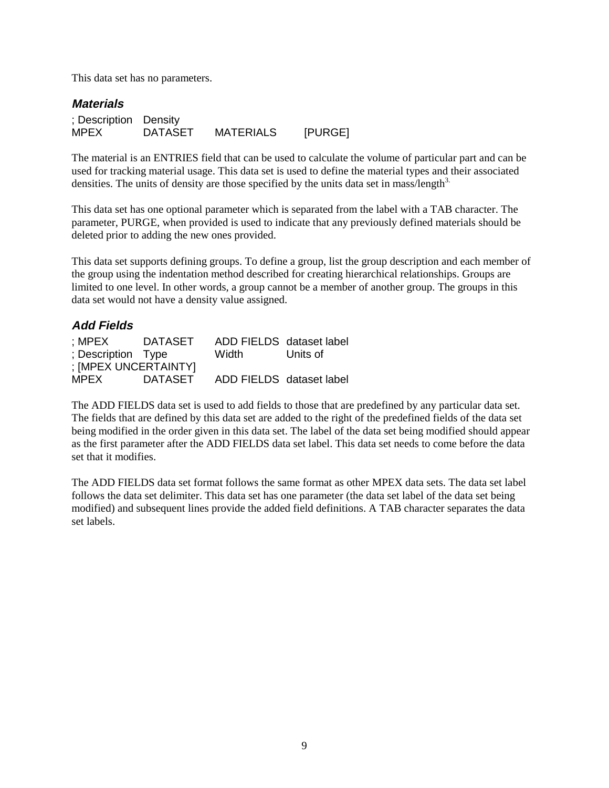<span id="page-10-0"></span>This data set has no parameters.

## **Materials** ; Description Density MPEX DATASET MATERIALS [PURGE]

The material is an ENTRIES field that can be used to calculate the volume of particular part and can be used for tracking material usage. This data set is used to define the material types and their associated densities. The units of density are those specified by the units data set in mass/length $3$ .

This data set has one optional parameter which is separated from the label with a TAB character. The parameter, PURGE, when provided is used to indicate that any previously defined materials should be deleted prior to adding the new ones provided.

This data set supports defining groups. To define a group, list the group description and each member of the group using the indentation method described for creating hierarchical relationships. Groups are limited to one level. In other words, a group cannot be a member of another group. The groups in this data set would not have a density value assigned.

#### **Add Fields**

| : MPEX               | <b>DATASET</b> | ADD FIELDS dataset label |          |
|----------------------|----------------|--------------------------|----------|
| ; Description Type   |                | Width                    | Units of |
| ; [MPEX UNCERTAINTY] |                |                          |          |
| <b>MPEX</b>          | <b>DATASET</b> | ADD FIELDS dataset label |          |

The ADD FIELDS data set is used to add fields to those that are predefined by any particular data set. The fields that are defined by this data set are added to the right of the predefined fields of the data set being modified in the order given in this data set. The label of the data set being modified should appear as the first parameter after the ADD FIELDS data set label. This data set needs to come before the data set that it modifies.

The ADD FIELDS data set format follows the same format as other MPEX data sets. The data set label follows the data set delimiter. This data set has one parameter (the data set label of the data set being modified) and subsequent lines provide the added field definitions. A TAB character separates the data set labels.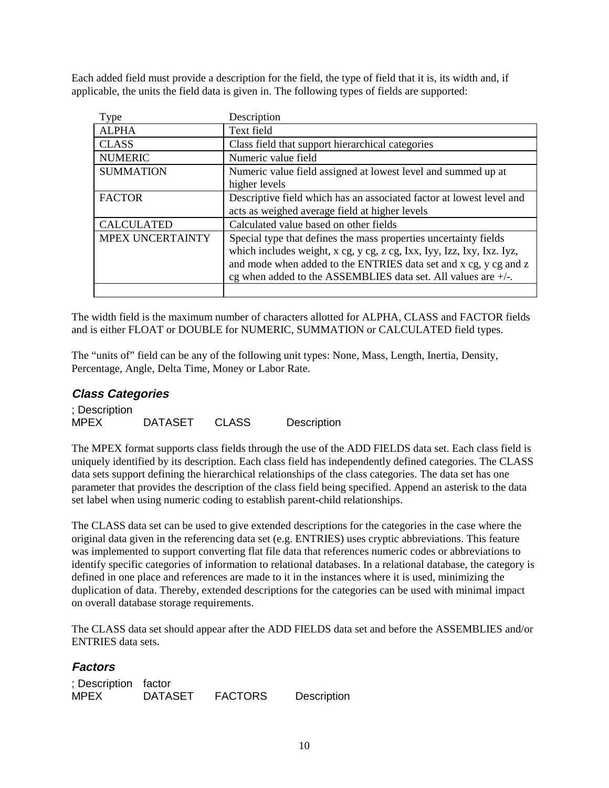<span id="page-11-0"></span>Each added field must provide a description for the field, the type of field that it is, its width and, if applicable, the units the field data is given in. The following types of fields are supported:

| Type              | Description                                                            |
|-------------------|------------------------------------------------------------------------|
| <b>ALPHA</b>      | Text field                                                             |
| <b>CLASS</b>      | Class field that support hierarchical categories                       |
| <b>NUMERIC</b>    | Numeric value field                                                    |
| <b>SUMMATION</b>  | Numeric value field assigned at lowest level and summed up at          |
|                   | higher levels                                                          |
| <b>FACTOR</b>     | Descriptive field which has an associated factor at lowest level and   |
|                   | acts as weighed average field at higher levels                         |
| <b>CALCULATED</b> | Calculated value based on other fields                                 |
| MPEX UNCERTAINTY  | Special type that defines the mass properties uncertainty fields       |
|                   | which includes weight, x cg, y cg, z cg, Ixx, Iyy, Izz, Ixy, Ixz. Iyz, |
|                   | and mode when added to the ENTRIES data set and x cg, y cg and z       |
|                   | cg when added to the ASSEMBLIES data set. All values are $+/-$ .       |
|                   |                                                                        |

The width field is the maximum number of characters allotted for ALPHA, CLASS and FACTOR fields and is either FLOAT or DOUBLE for NUMERIC, SUMMATION or CALCULATED field types.

The "units of" field can be any of the following unit types: None, Mass, Length, Inertia, Density, Percentage, Angle, Delta Time, Money or Labor Rate.

#### **Class Categories**

; Description MPEX DATASET CLASS Description

The MPEX format supports class fields through the use of the ADD FIELDS data set. Each class field is uniquely identified by its description. Each class field has independently defined categories. The CLASS data sets support defining the hierarchical relationships of the class categories. The data set has one parameter that provides the description of the class field being specified. Append an asterisk to the data set label when using numeric coding to establish parent-child relationships.

The CLASS data set can be used to give extended descriptions for the categories in the case where the original data given in the referencing data set (e.g. ENTRIES) uses cryptic abbreviations. This feature was implemented to support converting flat file data that references numeric codes or abbreviations to identify specific categories of information to relational databases. In a relational database, the category is defined in one place and references are made to it in the instances where it is used, minimizing the duplication of data. Thereby, extended descriptions for the categories can be used with minimal impact on overall database storage requirements.

The CLASS data set should appear after the ADD FIELDS data set and before the ASSEMBLIES and/or ENTRIES data sets.

#### **Factors**

| ; Description factor |                |                |             |
|----------------------|----------------|----------------|-------------|
| MPEX.                | <b>DATASET</b> | <b>FACTORS</b> | Description |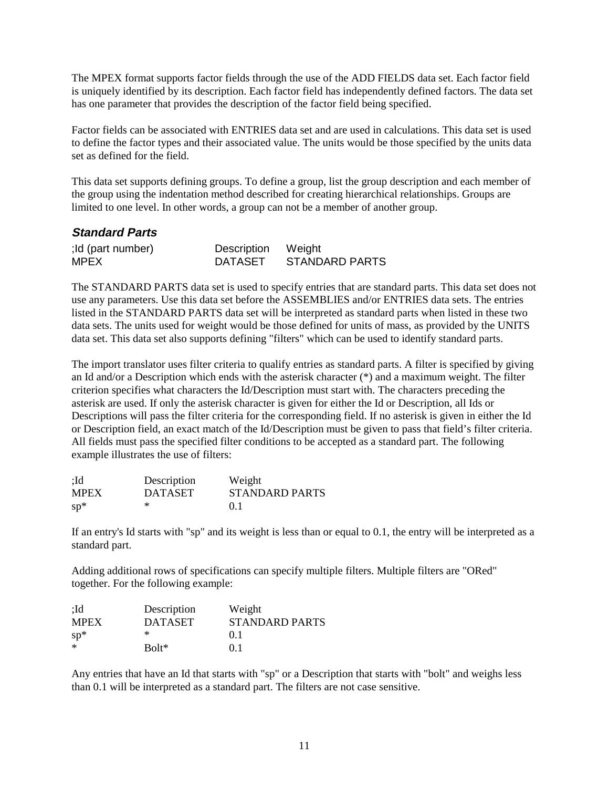<span id="page-12-0"></span>The MPEX format supports factor fields through the use of the ADD FIELDS data set. Each factor field is uniquely identified by its description. Each factor field has independently defined factors. The data set has one parameter that provides the description of the factor field being specified.

Factor fields can be associated with ENTRIES data set and are used in calculations. This data set is used to define the factor types and their associated value. The units would be those specified by the units data set as defined for the field.

This data set supports defining groups. To define a group, list the group description and each member of the group using the indentation method described for creating hierarchical relationships. Groups are limited to one level. In other words, a group can not be a member of another group.

| <b>Standard Parts</b>            |                                      |                       |
|----------------------------------|--------------------------------------|-----------------------|
| ;Id (part number)<br><b>MPEX</b> | Description Weight<br><b>DATASET</b> | <b>STANDARD PARTS</b> |

The STANDARD PARTS data set is used to specify entries that are standard parts. This data set does not use any parameters. Use this data set before the ASSEMBLIES and/or ENTRIES data sets. The entries listed in the STANDARD PARTS data set will be interpreted as standard parts when listed in these two data sets. The units used for weight would be those defined for units of mass, as provided by the UNITS data set. This data set also supports defining "filters" which can be used to identify standard parts.

The import translator uses filter criteria to qualify entries as standard parts. A filter is specified by giving an Id and/or a Description which ends with the asterisk character (\*) and a maximum weight. The filter criterion specifies what characters the Id/Description must start with. The characters preceding the asterisk are used. If only the asterisk character is given for either the Id or Description, all Ids or Descriptions will pass the filter criteria for the corresponding field. If no asterisk is given in either the Id or Description field, an exact match of the Id/Description must be given to pass that field's filter criteria. All fields must pass the specified filter conditions to be accepted as a standard part. The following example illustrates the use of filters:

| :Id         | Description    | Weight         |
|-------------|----------------|----------------|
| <b>MPEX</b> | <b>DATASET</b> | STANDARD PARTS |
| $sp*$       | ∗              | 0.1            |

If an entry's Id starts with "sp" and its weight is less than or equal to 0.1, the entry will be interpreted as a standard part.

Adding additional rows of specifications can specify multiple filters. Multiple filters are "ORed" together. For the following example:

| :Id         | Description    | Weight                |
|-------------|----------------|-----------------------|
| <b>MPEX</b> | <b>DATASET</b> | <b>STANDARD PARTS</b> |
| $sp*$       | ∗              | 0 <sub>1</sub>        |
| $\ast$      | $Bolt*$        | 0 <sub>1</sub>        |

Any entries that have an Id that starts with "sp" or a Description that starts with "bolt" and weighs less than 0.1 will be interpreted as a standard part. The filters are not case sensitive.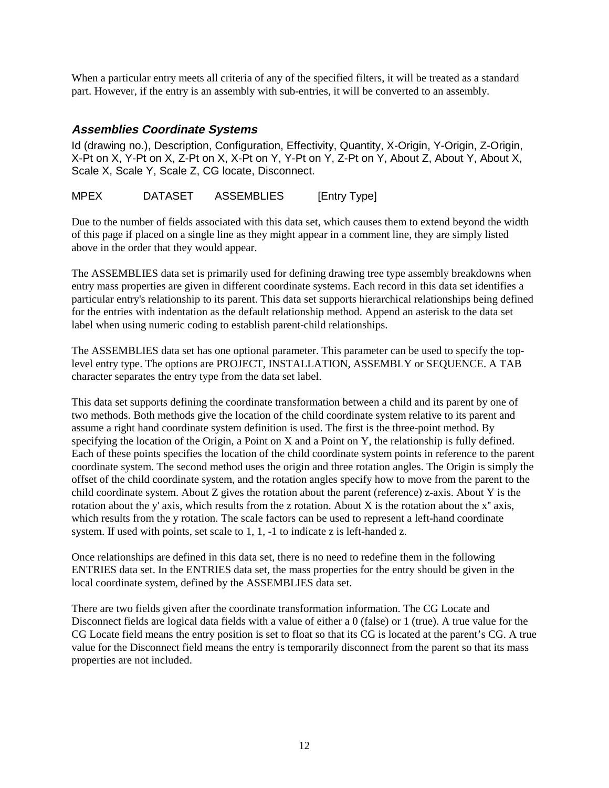<span id="page-13-0"></span>When a particular entry meets all criteria of any of the specified filters, it will be treated as a standard part. However, if the entry is an assembly with sub-entries, it will be converted to an assembly.

#### **Assemblies Coordinate Systems**

Id (drawing no.), Description, Configuration, Effectivity, Quantity, X-Origin, Y-Origin, Z-Origin, X-Pt on X, Y-Pt on X, Z-Pt on X, X-Pt on Y, Y-Pt on Y, Z-Pt on Y, About Z, About Y, About X, Scale X, Scale Y, Scale Z, CG locate, Disconnect.

MPEX DATASET ASSEMBLIES [Entry Type]

Due to the number of fields associated with this data set, which causes them to extend beyond the width of this page if placed on a single line as they might appear in a comment line, they are simply listed above in the order that they would appear.

The ASSEMBLIES data set is primarily used for defining drawing tree type assembly breakdowns when entry mass properties are given in different coordinate systems. Each record in this data set identifies a particular entry's relationship to its parent. This data set supports hierarchical relationships being defined for the entries with indentation as the default relationship method. Append an asterisk to the data set label when using numeric coding to establish parent-child relationships.

The ASSEMBLIES data set has one optional parameter. This parameter can be used to specify the toplevel entry type. The options are PROJECT, INSTALLATION, ASSEMBLY or SEQUENCE. A TAB character separates the entry type from the data set label.

This data set supports defining the coordinate transformation between a child and its parent by one of two methods. Both methods give the location of the child coordinate system relative to its parent and assume a right hand coordinate system definition is used. The first is the three-point method. By specifying the location of the Origin, a Point on X and a Point on Y, the relationship is fully defined. Each of these points specifies the location of the child coordinate system points in reference to the parent coordinate system. The second method uses the origin and three rotation angles. The Origin is simply the offset of the child coordinate system, and the rotation angles specify how to move from the parent to the child coordinate system. About Z gives the rotation about the parent (reference) z-axis. About Y is the rotation about the y' axis, which results from the z rotation. About X is the rotation about the  $x''$  axis, which results from the y rotation. The scale factors can be used to represent a left-hand coordinate system. If used with points, set scale to 1, 1, -1 to indicate z is left-handed z.

Once relationships are defined in this data set, there is no need to redefine them in the following ENTRIES data set. In the ENTRIES data set, the mass properties for the entry should be given in the local coordinate system, defined by the ASSEMBLIES data set.

There are two fields given after the coordinate transformation information. The CG Locate and Disconnect fields are logical data fields with a value of either a 0 (false) or 1 (true). A true value for the CG Locate field means the entry position is set to float so that its CG is located at the parent's CG. A true value for the Disconnect field means the entry is temporarily disconnect from the parent so that its mass properties are not included.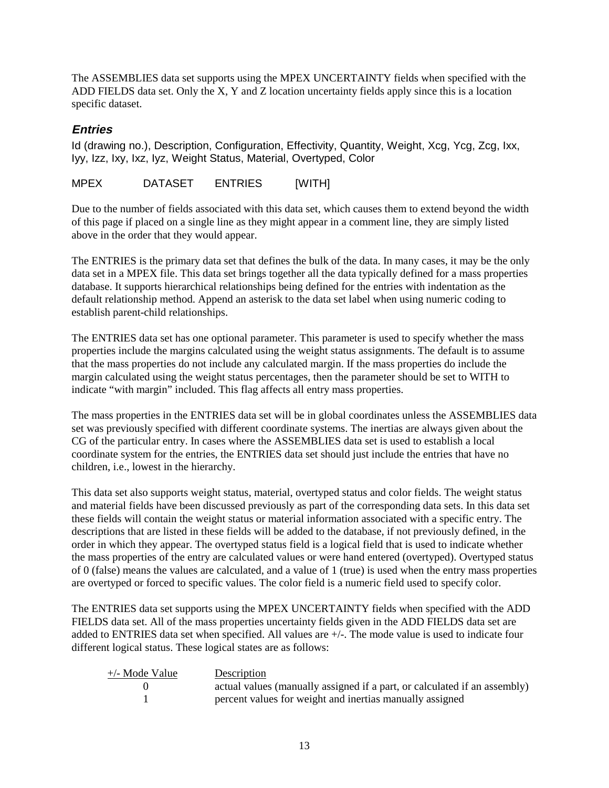<span id="page-14-0"></span>The ASSEMBLIES data set supports using the MPEX UNCERTAINTY fields when specified with the ADD FIELDS data set. Only the X, Y and Z location uncertainty fields apply since this is a location specific dataset.

#### **Entries**

Id (drawing no.), Description, Configuration, Effectivity, Quantity, Weight, Xcg, Ycg, Zcg, Ixx, Iyy, Izz, Ixy, Ixz, Iyz, Weight Status, Material, Overtyped, Color

MPEX DATASET ENTRIES [WITH]

Due to the number of fields associated with this data set, which causes them to extend beyond the width of this page if placed on a single line as they might appear in a comment line, they are simply listed above in the order that they would appear.

The ENTRIES is the primary data set that defines the bulk of the data. In many cases, it may be the only data set in a MPEX file. This data set brings together all the data typically defined for a mass properties database. It supports hierarchical relationships being defined for the entries with indentation as the default relationship method. Append an asterisk to the data set label when using numeric coding to establish parent-child relationships.

The ENTRIES data set has one optional parameter. This parameter is used to specify whether the mass properties include the margins calculated using the weight status assignments. The default is to assume that the mass properties do not include any calculated margin. If the mass properties do include the margin calculated using the weight status percentages, then the parameter should be set to WITH to indicate "with margin" included. This flag affects all entry mass properties.

The mass properties in the ENTRIES data set will be in global coordinates unless the ASSEMBLIES data set was previously specified with different coordinate systems. The inertias are always given about the CG of the particular entry. In cases where the ASSEMBLIES data set is used to establish a local coordinate system for the entries, the ENTRIES data set should just include the entries that have no children, i.e., lowest in the hierarchy.

This data set also supports weight status, material, overtyped status and color fields. The weight status and material fields have been discussed previously as part of the corresponding data sets. In this data set these fields will contain the weight status or material information associated with a specific entry. The descriptions that are listed in these fields will be added to the database, if not previously defined, in the order in which they appear. The overtyped status field is a logical field that is used to indicate whether the mass properties of the entry are calculated values or were hand entered (overtyped). Overtyped status of 0 (false) means the values are calculated, and a value of 1 (true) is used when the entry mass properties are overtyped or forced to specific values. The color field is a numeric field used to specify color.

The ENTRIES data set supports using the MPEX UNCERTAINTY fields when specified with the ADD FIELDS data set. All of the mass properties uncertainty fields given in the ADD FIELDS data set are added to ENTRIES data set when specified. All values are +/-. The mode value is used to indicate four different logical status. These logical states are as follows:

| $+\prime$ - Mode Value | Description                                                               |
|------------------------|---------------------------------------------------------------------------|
|                        | actual values (manually assigned if a part, or calculated if an assembly) |
|                        | percent values for weight and inertias manually assigned                  |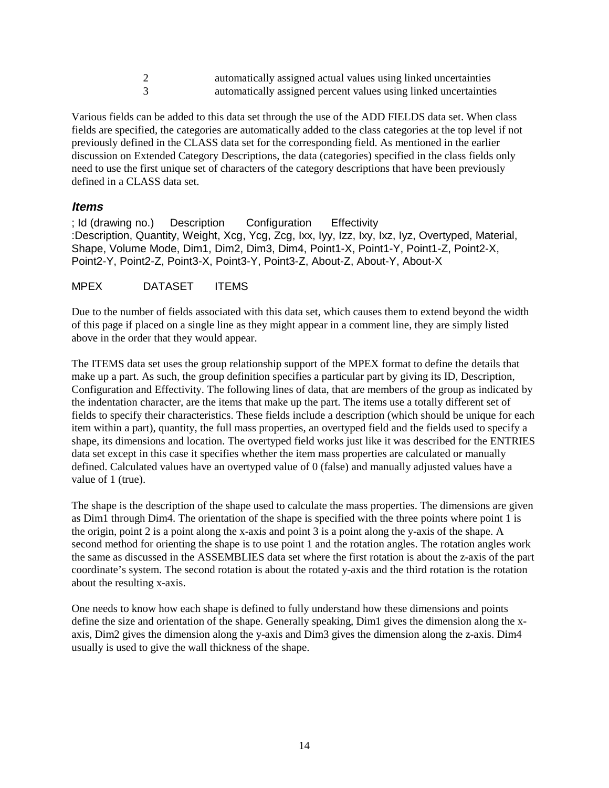2 automatically assigned actual values using linked uncertainties 3 automatically assigned percent values using linked uncertainties

<span id="page-15-0"></span>Various fields can be added to this data set through the use of the ADD FIELDS data set. When class fields are specified, the categories are automatically added to the class categories at the top level if not previously defined in the CLASS data set for the corresponding field. As mentioned in the earlier discussion on Extended Category Descriptions, the data (categories) specified in the class fields only need to use the first unique set of characters of the category descriptions that have been previously defined in a CLASS data set.

#### **Items**

; Id (drawing no.) Description Configuration Effectivity :Description, Quantity, Weight, Xcg, Ycg, Zcg, Ixx, Iyy, Izz, Ixy, Ixz, Iyz, Overtyped, Material, Shape, Volume Mode, Dim1, Dim2, Dim3, Dim4, Point1-X, Point1-Y, Point1-Z, Point2-X, Point2-Y, Point2-Z, Point3-X, Point3-Y, Point3-Z, About-Z, About-Y, About-X

#### MPEX DATASET ITEMS

Due to the number of fields associated with this data set, which causes them to extend beyond the width of this page if placed on a single line as they might appear in a comment line, they are simply listed above in the order that they would appear.

The ITEMS data set uses the group relationship support of the MPEX format to define the details that make up a part. As such, the group definition specifies a particular part by giving its ID, Description, Configuration and Effectivity. The following lines of data, that are members of the group as indicated by the indentation character, are the items that make up the part. The items use a totally different set of fields to specify their characteristics. These fields include a description (which should be unique for each item within a part), quantity, the full mass properties, an overtyped field and the fields used to specify a shape, its dimensions and location. The overtyped field works just like it was described for the ENTRIES data set except in this case it specifies whether the item mass properties are calculated or manually defined. Calculated values have an overtyped value of 0 (false) and manually adjusted values have a value of 1 (true).

The shape is the description of the shape used to calculate the mass properties. The dimensions are given as Dim1 through Dim4. The orientation of the shape is specified with the three points where point 1 is the origin, point 2 is a point along the x-axis and point 3 is a point along the y-axis of the shape. A second method for orienting the shape is to use point 1 and the rotation angles. The rotation angles work the same as discussed in the ASSEMBLIES data set where the first rotation is about the z-axis of the part coordinate's system. The second rotation is about the rotated y-axis and the third rotation is the rotation about the resulting x-axis.

One needs to know how each shape is defined to fully understand how these dimensions and points define the size and orientation of the shape. Generally speaking, Dim1 gives the dimension along the xaxis, Dim2 gives the dimension along the y-axis and Dim3 gives the dimension along the z-axis. Dim4 usually is used to give the wall thickness of the shape.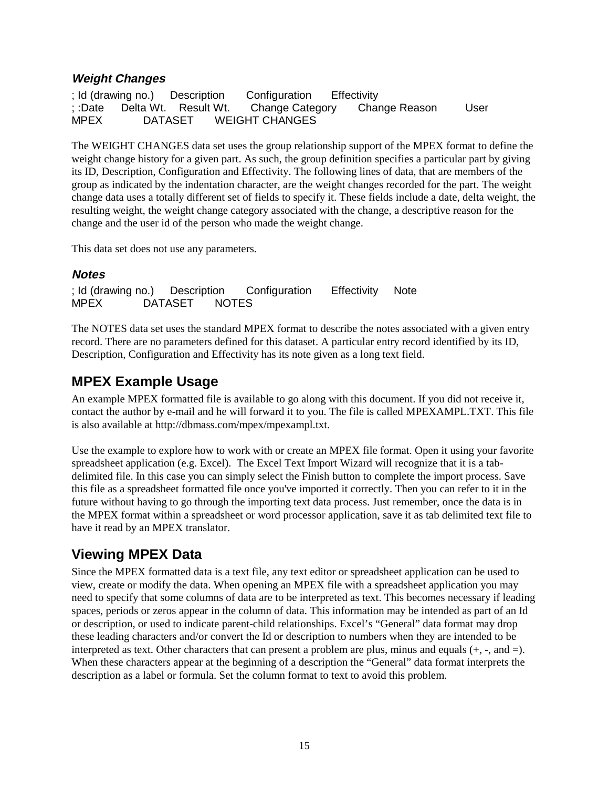## <span id="page-16-0"></span>**Weight Changes**

; Id (drawing no.) Description Configuration Effectivity ; :Date Delta Wt. Result Wt. Change Category Change Reason User<br>MPEX DATASET WEIGHT CHANGES MPEX DATASET WEIGHT CHANGES

The WEIGHT CHANGES data set uses the group relationship support of the MPEX format to define the weight change history for a given part. As such, the group definition specifies a particular part by giving its ID, Description, Configuration and Effectivity. The following lines of data, that are members of the group as indicated by the indentation character, are the weight changes recorded for the part. The weight change data uses a totally different set of fields to specify it. These fields include a date, delta weight, the resulting weight, the weight change category associated with the change, a descriptive reason for the change and the user id of the person who made the weight change.

This data set does not use any parameters.

### **Notes**

; Id (drawing no.) Description Configuration Effectivity Note MPEX DATASET NOTES

The NOTES data set uses the standard MPEX format to describe the notes associated with a given entry record. There are no parameters defined for this dataset. A particular entry record identified by its ID, Description, Configuration and Effectivity has its note given as a long text field.

# **MPEX Example Usage**

An example MPEX formatted file is available to go along with this document. If you did not receive it, contact the author by e-mail and he will forward it to you. The file is called MPEXAMPL.TXT. This file is also available at http://dbmass.com/mpex/mpexampl.txt.

Use the example to explore how to work with or create an MPEX file format. Open it using your favorite spreadsheet application (e.g. Excel). The Excel Text Import Wizard will recognize that it is a tabdelimited file. In this case you can simply select the Finish button to complete the import process. Save this file as a spreadsheet formatted file once you've imported it correctly. Then you can refer to it in the future without having to go through the importing text data process. Just remember, once the data is in the MPEX format within a spreadsheet or word processor application, save it as tab delimited text file to have it read by an MPEX translator.

# **Viewing MPEX Data**

Since the MPEX formatted data is a text file, any text editor or spreadsheet application can be used to view, create or modify the data. When opening an MPEX file with a spreadsheet application you may need to specify that some columns of data are to be interpreted as text. This becomes necessary if leading spaces, periods or zeros appear in the column of data. This information may be intended as part of an Id or description, or used to indicate parent-child relationships. Excel's "General" data format may drop these leading characters and/or convert the Id or description to numbers when they are intended to be interpreted as text. Other characters that can present a problem are plus, minus and equals (+, -, and =). When these characters appear at the beginning of a description the "General" data format interprets the description as a label or formula. Set the column format to text to avoid this problem.